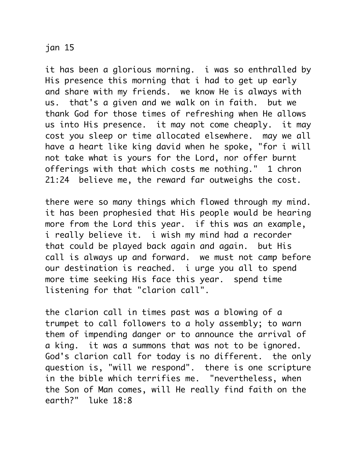## jan 15

it has been a glorious morning. i was so enthralled by His presence this morning that i had to get up early and share with my friends. we know He is always with us. that's a given and we walk on in faith. but we thank God for those times of refreshing when He allows us into His presence. it may not come cheaply. it may cost you sleep or time allocated elsewhere. may we all have a heart like king david when he spoke, "for i will not take what is yours for the Lord, nor offer burnt offerings with that which costs me nothing." 1 chron 21:24 believe me, the reward far outweighs the cost.

there were so many things which flowed through my mind. it has been prophesied that His people would be hearing more from the Lord this year. if this was an example, i really believe it. i wish my mind had a recorder that could be played back again and again. but His call is always up and forward. we must not camp before our destination is reached. i urge you all to spend more time seeking His face this year. spend time listening for that "clarion call".

the clarion call in times past was a blowing of a trumpet to call followers to a holy assembly; to warn them of impending danger or to announce the arrival of a king. it was a summons that was not to be ignored. God's clarion call for today is no different. the only question is, "will we respond". there is one scripture in the bible which terrifies me. "nevertheless, when the Son of Man comes, will He really find faith on the earth?" luke 18:8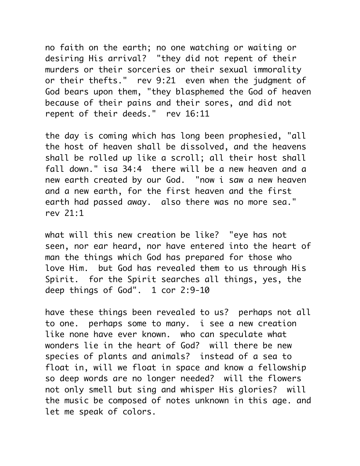no faith on the earth; no one watching or waiting or desiring His arrival? "they did not repent of their murders or their sorceries or their sexual immorality or their thefts." rev 9:21 even when the judgment of God bears upon them, "they blasphemed the God of heaven because of their pains and their sores, and did not repent of their deeds." rev 16:11

the day is coming which has long been prophesied, "all the host of heaven shall be dissolved, and the heavens shall be rolled up like a scroll; all their host shall fall down." isa 34:4 there will be a new heaven and a new earth created by our God. "now i saw a new heaven and a new earth, for the first heaven and the first earth had passed away. also there was no more sea." rev 21:1

what will this new creation be like? "eye has not seen, nor ear heard, nor have entered into the heart of man the things which God has prepared for those who love Him. but God has revealed them to us through His Spirit. for the Spirit searches all things, yes, the deep things of God". 1 cor 2:9-10

have these things been revealed to us? perhaps not all to one. perhaps some to many. i see a new creation like none have ever known. who can speculate what wonders lie in the heart of God? will there be new species of plants and animals? instead of a sea to float in, will we float in space and know a fellowship so deep words are no longer needed? will the flowers not only smell but sing and whisper His glories? will the music be composed of notes unknown in this age. and let me speak of colors.